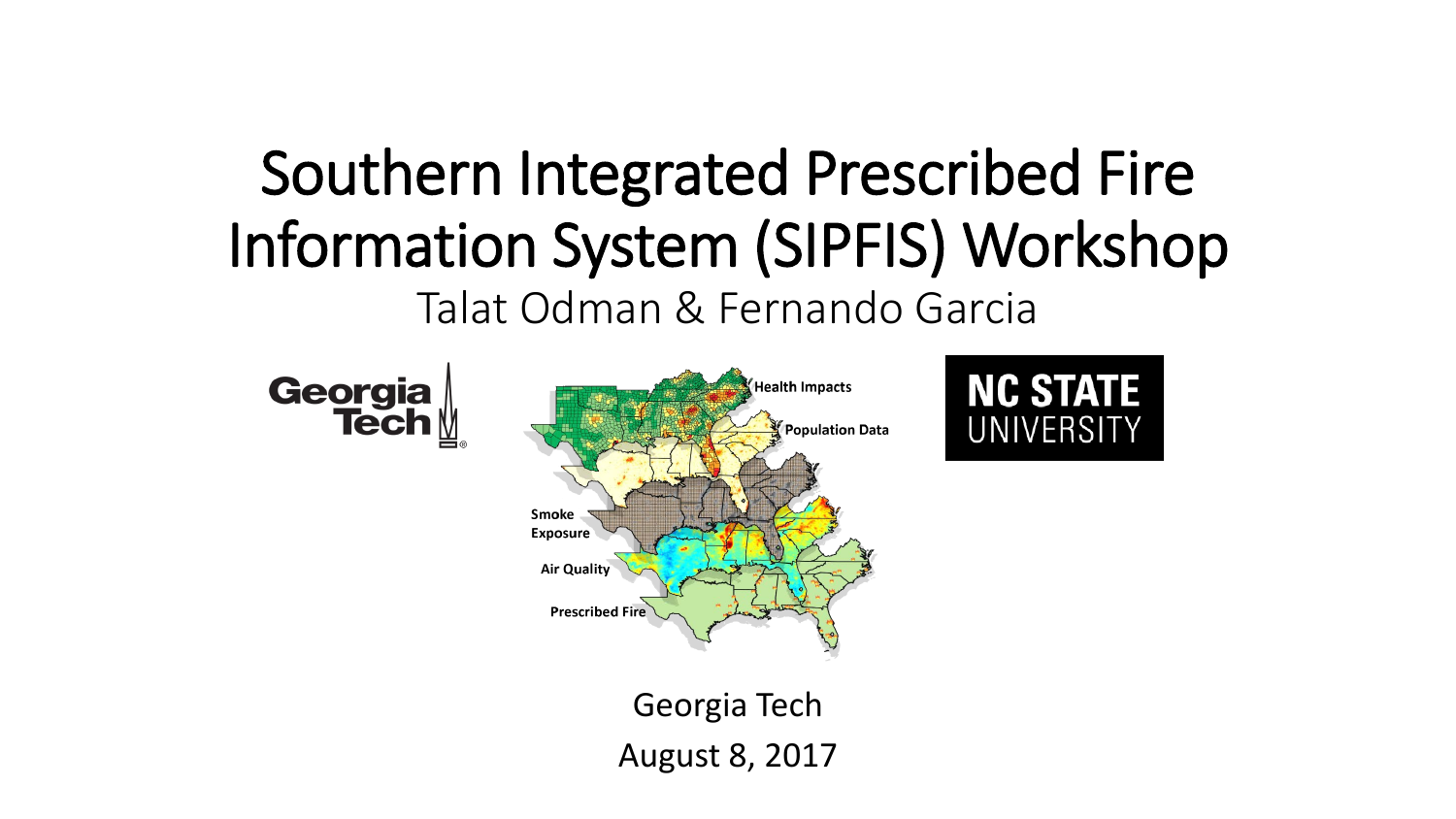### Southern Integrated Prescribed Fire Information System (SIPFIS) Workshop Talat Odman & Fernando Garcia

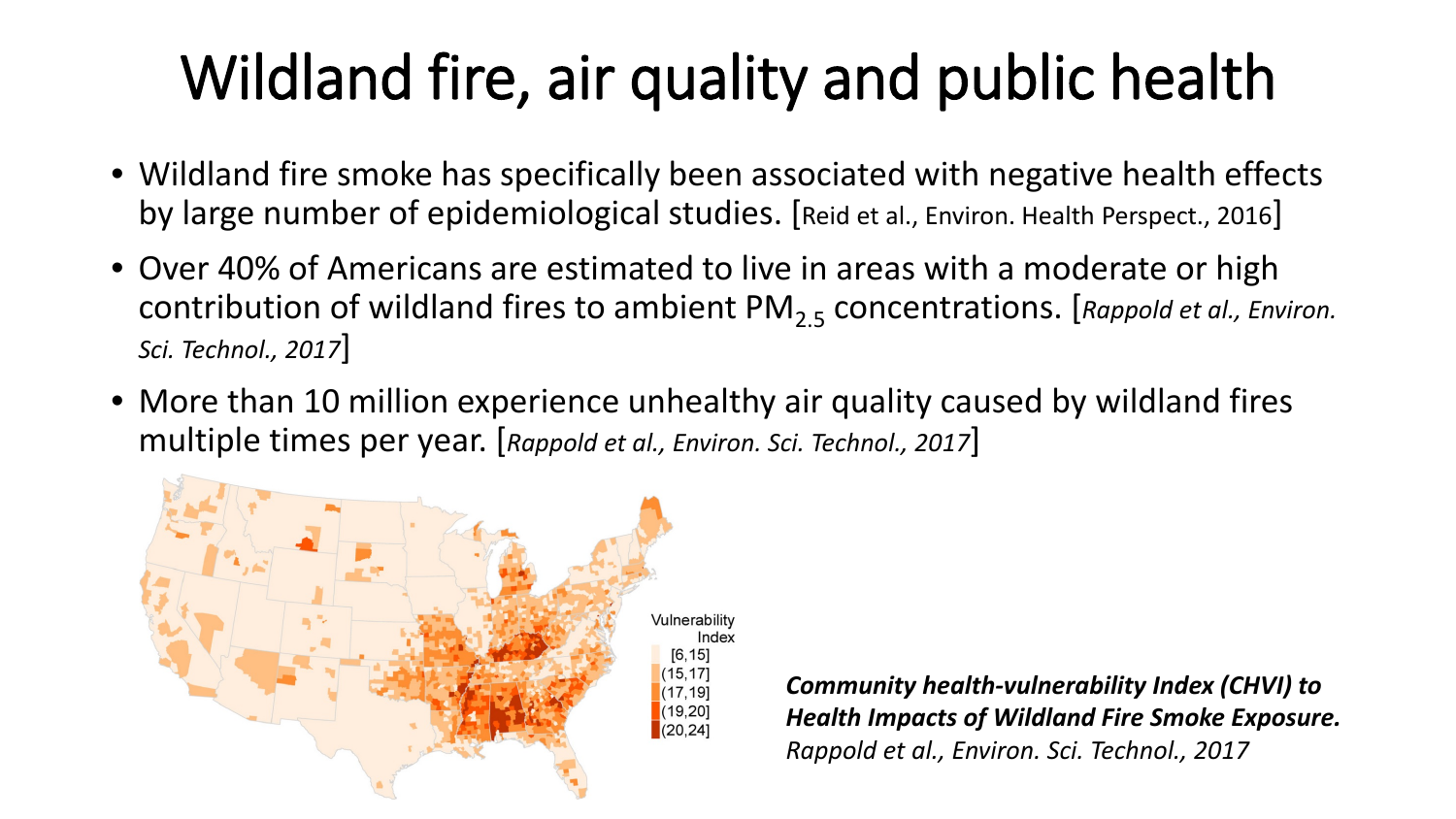# Wildland fire, air quality and public health

- Wildland fire smoke has specifically been associated with negative health effects by large number of epidemiological studies. [Reid et al., Environ. Health Perspect., 2016]
- Over 40% of Americans are estimated to live in areas with a moderate or high contribution of wildland fires to ambient PM<sub>2<sub>5</sub></sub> concentrations. [Rappold et al., Environ. *Sci. Technol., 2017*]
- More than 10 million experience unhealthy air quality caused by wildland fires multiple times per year. [*Rappold et al., Environ. Sci. Technol., 2017*]



*Community health-vulnerability Index (CHVI) to Health Impacts of Wildland Fire Smoke Exposure. Rappold et al., Environ. Sci. Technol., 2017*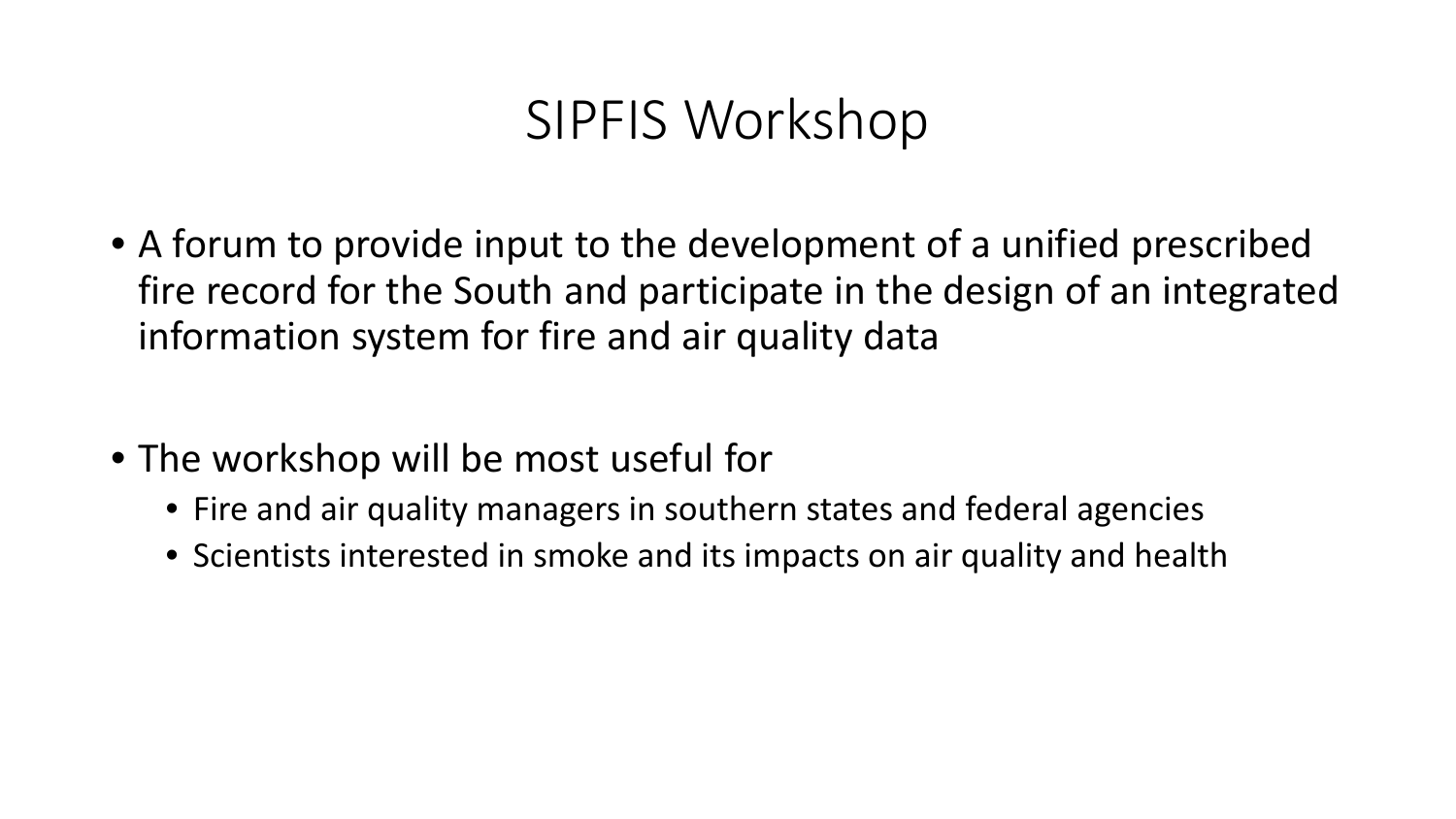#### SIPFIS Workshop

- A forum to provide input to the development of a unified prescribed fire record for the South and participate in the design of an integrated information system for fire and air quality data
- The workshop will be most useful for
	- Fire and air quality managers in southern states and federal agencies
	- Scientists interested in smoke and its impacts on air quality and health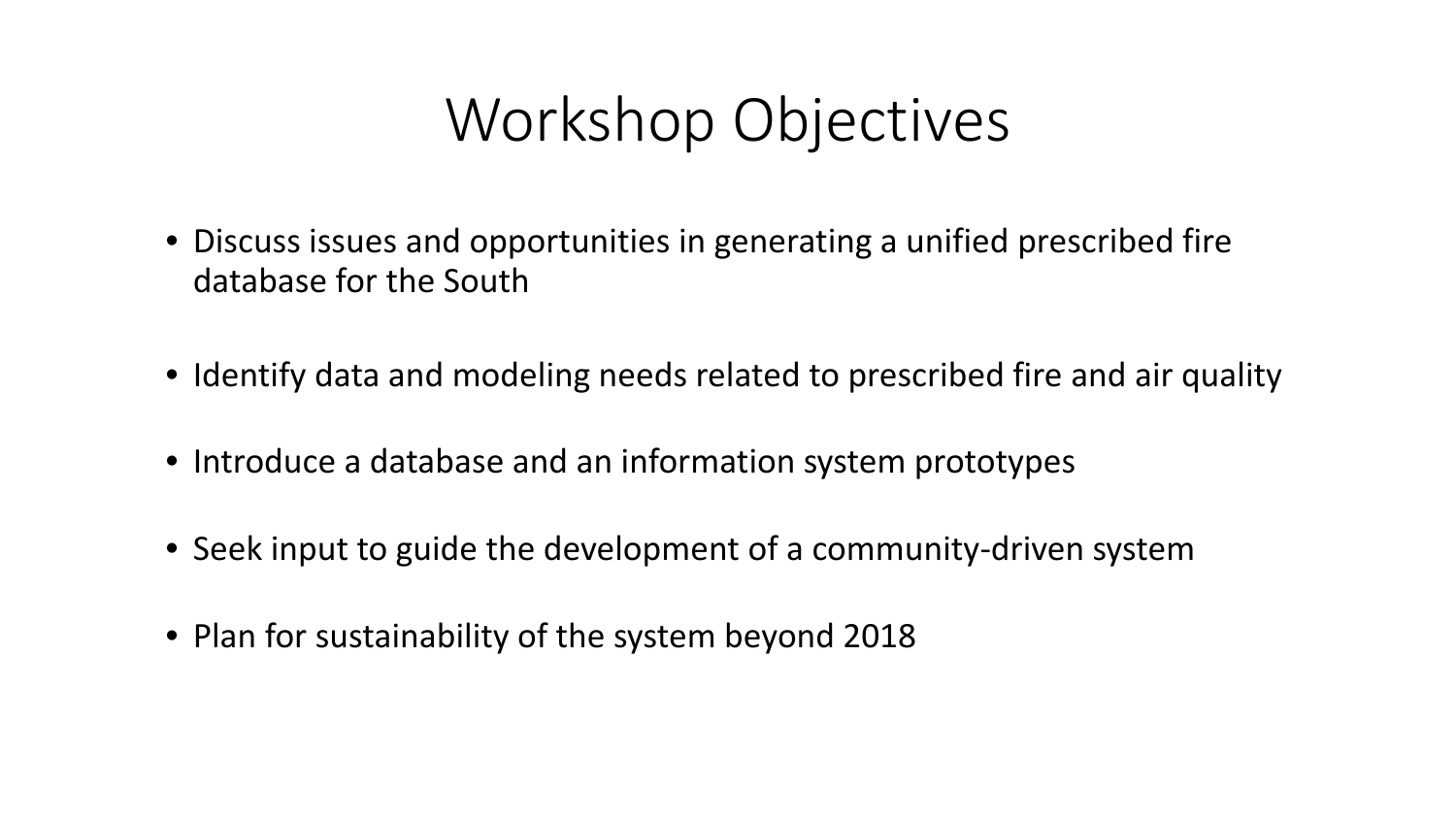## Workshop Objectives

- Discuss issues and opportunities in generating a unified prescribed fire database for the South
- Identify data and modeling needs related to prescribed fire and air quality
- Introduce a database and an information system prototypes
- Seek input to guide the development of a community-driven system
- Plan for sustainability of the system beyond 2018